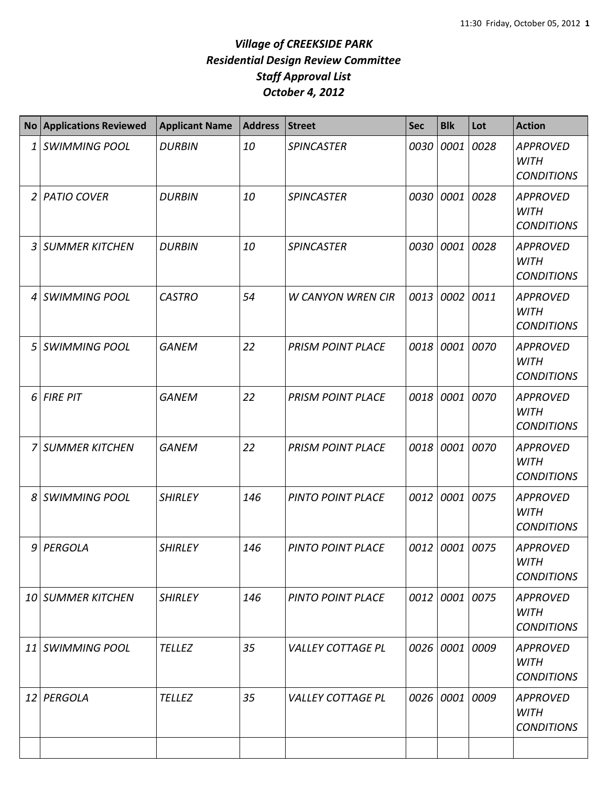|    | <b>No Applications Reviewed</b> | <b>Applicant Name</b> | <b>Address</b> | <b>Street</b>            | <b>Sec</b> | <b>Blk</b>     | Lot  | <b>Action</b>                                       |
|----|---------------------------------|-----------------------|----------------|--------------------------|------------|----------------|------|-----------------------------------------------------|
| 1  | <b>SWIMMING POOL</b>            | <b>DURBIN</b>         | 10             | <b>SPINCASTER</b>        | 0030       | 0001           | 0028 | <b>APPROVED</b><br><b>WITH</b><br><b>CONDITIONS</b> |
|    | 2 PATIO COVER                   | <b>DURBIN</b>         | 10             | <b>SPINCASTER</b>        | 0030       | 0001 0028      |      | <b>APPROVED</b><br><b>WITH</b><br><b>CONDITIONS</b> |
| 3  | <b>SUMMER KITCHEN</b>           | <b>DURBIN</b>         | 10             | <b>SPINCASTER</b>        | 0030       | 0001           | 0028 | <b>APPROVED</b><br><b>WITH</b><br><b>CONDITIONS</b> |
| 4  | <b>SWIMMING POOL</b>            | <b>CASTRO</b>         | 54             | <b>W CANYON WREN CIR</b> | 0013       | 0002           | 0011 | <b>APPROVED</b><br><b>WITH</b><br><b>CONDITIONS</b> |
| 5  | <b>SWIMMING POOL</b>            | <b>GANEM</b>          | 22             | <b>PRISM POINT PLACE</b> | 0018       | 0001           | 0070 | <b>APPROVED</b><br><b>WITH</b><br><b>CONDITIONS</b> |
| 6  | <b>FIRE PIT</b>                 | <b>GANEM</b>          | 22             | <b>PRISM POINT PLACE</b> | 0018       | 0001           | 0070 | <b>APPROVED</b><br><b>WITH</b><br><b>CONDITIONS</b> |
| 7  | <b>SUMMER KITCHEN</b>           | <b>GANEM</b>          | 22             | <b>PRISM POINT PLACE</b> | 0018       | 0001 0070      |      | <b>APPROVED</b><br><b>WITH</b><br><b>CONDITIONS</b> |
| 8  | <b>SWIMMING POOL</b>            | <b>SHIRLEY</b>        | 146            | <b>PINTO POINT PLACE</b> | 0012       | 0001           | 0075 | <b>APPROVED</b><br><b>WITH</b><br><b>CONDITIONS</b> |
| 9  | PERGOLA                         | <b>SHIRLEY</b>        | 146            | PINTO POINT PLACE        | 0012       | 0001           | 0075 | APPROVED<br><b>WITH</b><br><b>CONDITIONS</b>        |
|    | 10 SUMMER KITCHEN               | <b>SHIRLEY</b>        | 146            | <b>PINTO POINT PLACE</b> |            | 0012 0001 0075 |      | <b>APPROVED</b><br><b>WITH</b><br><b>CONDITIONS</b> |
| 11 | <b>SWIMMING POOL</b>            | <b>TELLEZ</b>         | 35             | <b>VALLEY COTTAGE PL</b> |            | 0026 0001 0009 |      | <b>APPROVED</b><br><b>WITH</b><br><b>CONDITIONS</b> |
|    | 12 PERGOLA                      | <b>TELLEZ</b>         | 35             | <b>VALLEY COTTAGE PL</b> | 0026       | 0001 0009      |      | <b>APPROVED</b><br><b>WITH</b><br><b>CONDITIONS</b> |
|    |                                 |                       |                |                          |            |                |      |                                                     |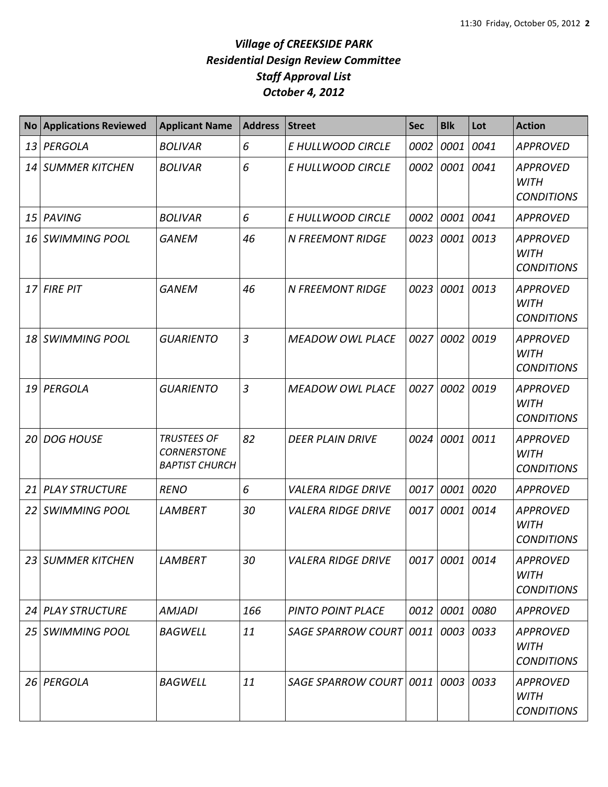| <b>No</b>       | <b>Applications Reviewed</b> | <b>Applicant Name</b>                                             | <b>Address</b> | <b>Street</b>                     | <b>Sec</b> | <b>Blk</b>     | Lot  | <b>Action</b>                                       |
|-----------------|------------------------------|-------------------------------------------------------------------|----------------|-----------------------------------|------------|----------------|------|-----------------------------------------------------|
| 13              | PERGOLA                      | <b>BOLIVAR</b>                                                    | 6              | E HULLWOOD CIRCLE                 | 0002       | 0001           | 0041 | <b>APPROVED</b>                                     |
| 14              | <b>SUMMER KITCHEN</b>        | <b>BOLIVAR</b>                                                    | 6              | E HULLWOOD CIRCLE                 | 0002       | 0001           | 0041 | <b>APPROVED</b><br><b>WITH</b><br><b>CONDITIONS</b> |
| 15              | PAVING                       | <b>BOLIVAR</b>                                                    | 6              | E HULLWOOD CIRCLE                 | 0002       | 0001           | 0041 | <b>APPROVED</b>                                     |
| 16              | <b>SWIMMING POOL</b>         | <b>GANEM</b>                                                      | 46             | <b>N FREEMONT RIDGE</b>           | 0023       | 0001           | 0013 | <b>APPROVED</b><br><b>WITH</b><br><b>CONDITIONS</b> |
| 17              | <b>FIRE PIT</b>              | <b>GANEM</b>                                                      | 46             | <b>N FREEMONT RIDGE</b>           | 0023       | 0001 0013      |      | <b>APPROVED</b><br><b>WITH</b><br><b>CONDITIONS</b> |
| 18              | <b>SWIMMING POOL</b>         | <b>GUARIENTO</b>                                                  | $\overline{3}$ | <b>MEADOW OWL PLACE</b>           | 0027       | 0002           | 0019 | <b>APPROVED</b><br><b>WITH</b><br><b>CONDITIONS</b> |
| 19              | PERGOLA                      | <b>GUARIENTO</b>                                                  | $\overline{3}$ | <b>MEADOW OWL PLACE</b>           | 0027       | 0002           | 0019 | <b>APPROVED</b><br><b>WITH</b><br><b>CONDITIONS</b> |
| 20              | <b>DOG HOUSE</b>             | <b>TRUSTEES OF</b><br><b>CORNERSTONE</b><br><b>BAPTIST CHURCH</b> | 82             | <b>DEER PLAIN DRIVE</b>           | 0024       | 0001 0011      |      | <b>APPROVED</b><br><b>WITH</b><br><b>CONDITIONS</b> |
| 21              | <b>PLAY STRUCTURE</b>        | <b>RENO</b>                                                       | 6              | <b>VALERA RIDGE DRIVE</b>         | 0017       | 0001           | 0020 | <b>APPROVED</b>                                     |
| 22              | <b>SWIMMING POOL</b>         | <b>LAMBERT</b>                                                    | 30             | <b>VALERA RIDGE DRIVE</b>         | 0017       | 0001           | 0014 | <b>APPROVED</b><br><b>WITH</b><br><b>CONDITIONS</b> |
|                 | 23 SUMMER KITCHEN            | <b>LAMBERT</b>                                                    | 30             | <b>VALERA RIDGE DRIVE</b>         |            | 0017 0001 0014 |      | <b>APPROVED</b><br><b>WITH</b><br><b>CONDITIONS</b> |
|                 | 24 PLAY STRUCTURE            | AMJADI                                                            | 166            | PINTO POINT PLACE                 |            | 0012 0001 0080 |      | <b>APPROVED</b>                                     |
| 25 <sub>1</sub> | SWIMMING POOL                | <b>BAGWELL</b>                                                    | 11             | SAGE SPARROW COURT 0011           |            | 0003 0033      |      | <b>APPROVED</b><br><b>WITH</b><br><b>CONDITIONS</b> |
| 26              | PERGOLA                      | <b>BAGWELL</b>                                                    | 11             | SAGE SPARROW COURT 0011 0003 0033 |            |                |      | <b>APPROVED</b><br><b>WITH</b><br><b>CONDITIONS</b> |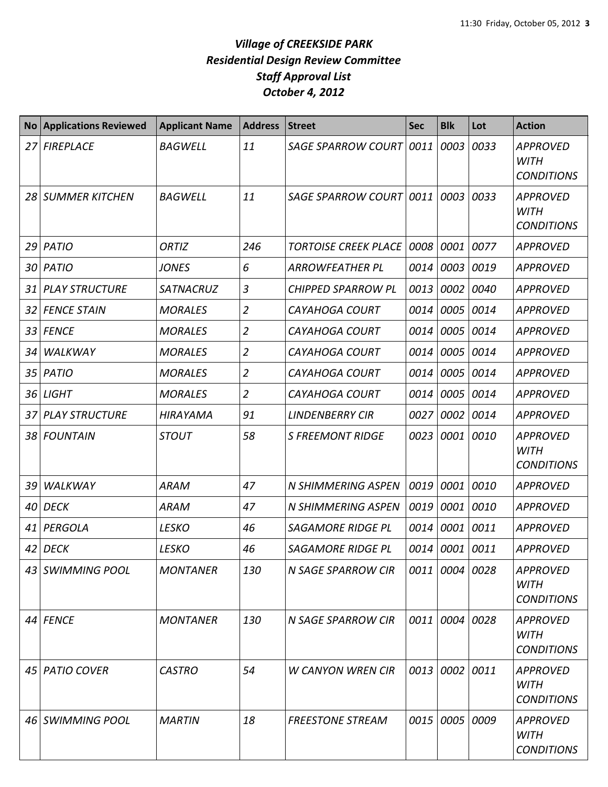| <b>No</b> | <b>Applications Reviewed</b> | <b>Applicant Name</b> | <b>Address</b> | <b>Street</b>                    | <b>Sec</b> | <b>Blk</b>     | Lot  | <b>Action</b>                                       |
|-----------|------------------------------|-----------------------|----------------|----------------------------------|------------|----------------|------|-----------------------------------------------------|
| 27        | <b>FIREPLACE</b>             | <b>BAGWELL</b>        | 11             | <b>SAGE SPARROW COURT</b>        | 0011       | 0003           | 0033 | <b>APPROVED</b><br><b>WITH</b><br><b>CONDITIONS</b> |
| 28        | <b>SUMMER KITCHEN</b>        | <b>BAGWELL</b>        | 11             | <b>SAGE SPARROW COURT   0011</b> |            | 0003           | 0033 | <b>APPROVED</b><br><b>WITH</b><br><b>CONDITIONS</b> |
| 29        | <b>PATIO</b>                 | <b>ORTIZ</b>          | 246            | <b>TORTOISE CREEK PLACE</b>      | 0008       | 0001           | 0077 | <b>APPROVED</b>                                     |
| 30        | <b>PATIO</b>                 | <b>JONES</b>          | 6              | <b>ARROWFEATHER PL</b>           | 0014       | 0003           | 0019 | <b>APPROVED</b>                                     |
| 31        | <b>PLAY STRUCTURE</b>        | <b>SATNACRUZ</b>      | 3              | <b>CHIPPED SPARROW PL</b>        | 0013       | 0002           | 0040 | <b>APPROVED</b>                                     |
| 32        | <b>FENCE STAIN</b>           | <b>MORALES</b>        | $\overline{2}$ | <b>CAYAHOGA COURT</b>            | 0014       | 0005           | 0014 | <b>APPROVED</b>                                     |
| 33        | <b>FENCE</b>                 | <b>MORALES</b>        | $\overline{2}$ | <b>CAYAHOGA COURT</b>            | 0014       | 0005 0014      |      | <b>APPROVED</b>                                     |
| 34        | WALKWAY                      | <b>MORALES</b>        | $\overline{2}$ | <b>CAYAHOGA COURT</b>            | 0014       | 0005           | 0014 | <b>APPROVED</b>                                     |
| 35        | <b>PATIO</b>                 | <b>MORALES</b>        | $\overline{2}$ | <b>CAYAHOGA COURT</b>            | 0014       | 0005 0014      |      | <b>APPROVED</b>                                     |
| 36        | <b>LIGHT</b>                 | <b>MORALES</b>        | $\overline{2}$ | <b>CAYAHOGA COURT</b>            | 0014       | 0005 0014      |      | <b>APPROVED</b>                                     |
| 37        | <b>PLAY STRUCTURE</b>        | <b>HIRAYAMA</b>       | 91             | <b>LINDENBERRY CIR</b>           | 0027       | 0002           | 0014 | <b>APPROVED</b>                                     |
| 38        | <b>FOUNTAIN</b>              | <b>STOUT</b>          | 58             | <b>S FREEMONT RIDGE</b>          | 0023       | 0001 0010      |      | <b>APPROVED</b><br><b>WITH</b><br><b>CONDITIONS</b> |
| 39        | WALKWAY                      | <b>ARAM</b>           | 47             | <b>N SHIMMERING ASPEN</b>        | 0019       | 0001           | 0010 | <b>APPROVED</b>                                     |
| 40        | <b>DECK</b>                  | <b>ARAM</b>           | 47             | <b>N SHIMMERING ASPEN</b>        | 0019       | 0001           | 0010 | <b>APPROVED</b>                                     |
| 41        | PERGOLA                      | <b>LESKO</b>          | 46             | <b>SAGAMORE RIDGE PL</b>         | 0014       | 0001 0011      |      | <b>APPROVED</b>                                     |
| 42        | <b>DECK</b>                  | <b>LESKO</b>          | 46             | <b>SAGAMORE RIDGE PL</b>         | 0014       | 0001 0011      |      | <b>APPROVED</b>                                     |
|           | 43 SWIMMING POOL             | <b>MONTANER</b>       | 130            | N SAGE SPARROW CIR               |            | 0011 0004 0028 |      | <b>APPROVED</b><br><b>WITH</b><br><b>CONDITIONS</b> |
|           | 44 FENCE                     | <b>MONTANER</b>       | 130            | N SAGE SPARROW CIR               | 0011       | 0004 0028      |      | <b>APPROVED</b><br><b>WITH</b><br><b>CONDITIONS</b> |
| 45        | <b>PATIO COVER</b>           | <b>CASTRO</b>         | 54             | <b>W CANYON WREN CIR</b>         | 0013       | 0002 0011      |      | <b>APPROVED</b><br><b>WITH</b><br><b>CONDITIONS</b> |
| 46        | <b>SWIMMING POOL</b>         | <b>MARTIN</b>         | 18             | <b>FREESTONE STREAM</b>          | 0015       | 0005 0009      |      | <b>APPROVED</b><br><b>WITH</b><br><b>CONDITIONS</b> |